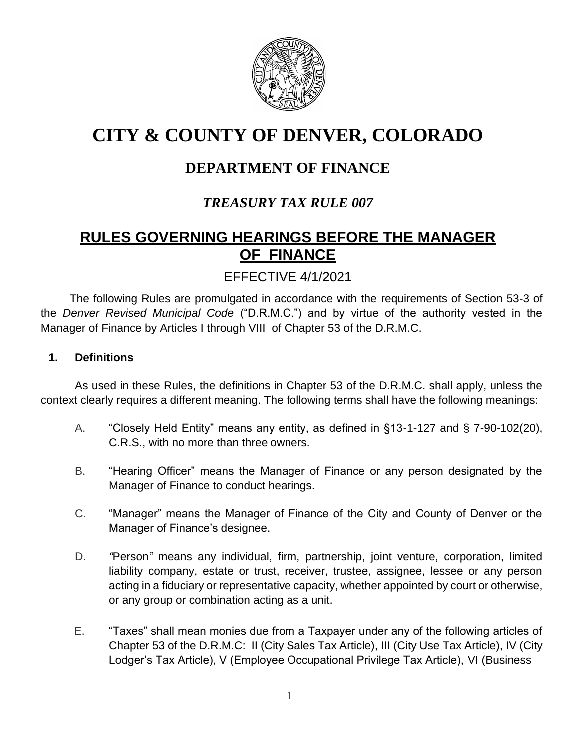

# **CITY & COUNTY OF DENVER, COLORADO**

# **DEPARTMENT OF FINANCE**

# *TREASURY TAX RULE 007*

# **RULES GOVERNING HEARINGS BEFORE THE MANAGER OF FINANCE**

# EFFECTIVE 4/1/2021

The following Rules are promulgated in accordance with the requirements of Section 53-3 of the *Denver Revised Municipal Code* ("D.R.M.C.") and by virtue of the authority vested in the Manager of Finance by Articles I through VIII of Chapter 53 of the D.R.M.C.

#### **1. Definitions**

As used in these Rules, the definitions in Chapter 53 of the D.R.M.C. shall apply, unless the context clearly requires a different meaning. The following terms shall have the following meanings:

- A. "Closely Held Entity" means any entity, as defined in §13-1-127 and § 7-90-102(20), C.R.S., with no more than three owners.
- B. "Hearing Officer" means the Manager of Finance or any person designated by the Manager of Finance to conduct hearings.
- C. "Manager" means the Manager of Finance of the City and County of Denver or the Manager of Finance's designee.
- D. *"*Person*"* means any individual, firm, partnership, joint venture, corporation, limited liability company, estate or trust, receiver, trustee, assignee, lessee or any person acting in a fiduciary or representative capacity, whether appointed by court or otherwise, or any group or combination acting as a unit.
- E. "Taxes" shall mean monies due from a Taxpayer under any of the following articles of Chapter 53 of the D.R.M.C: II (City Sales Tax Article), III (City Use Tax Article), IV (City Lodger's Tax Article), V (Employee Occupational Privilege Tax Article), VI (Business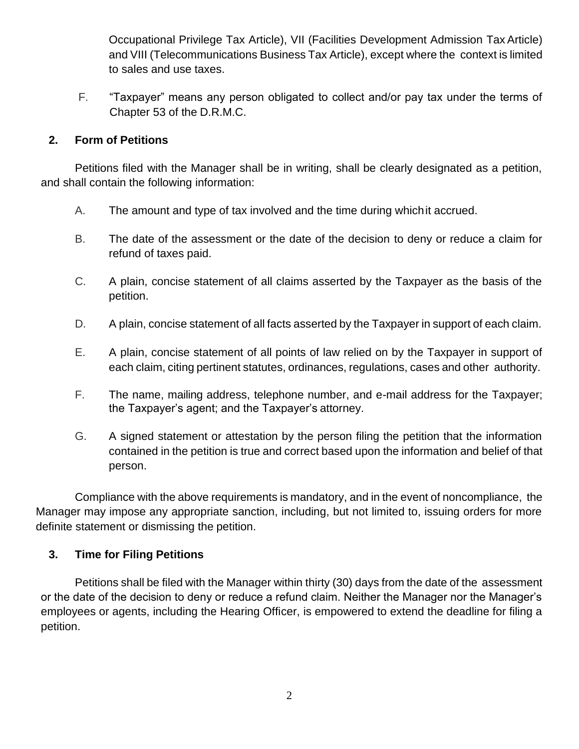Occupational Privilege Tax Article), VII (Facilities Development Admission Tax Article) and VIII (Telecommunications Business Tax Article), except where the context is limited to sales and use taxes.

F. "Taxpayer" means any person obligated to collect and/or pay tax under the terms of Chapter 53 of the D.R.M.C.

# **2. Form of Petitions**

Petitions filed with the Manager shall be in writing, shall be clearly designated as a petition, and shall contain the following information:

- A. The amount and type of tax involved and the time during whichit accrued.
- B. The date of the assessment or the date of the decision to deny or reduce a claim for refund of taxes paid.
- C. A plain, concise statement of all claims asserted by the Taxpayer as the basis of the petition.
- D. A plain, concise statement of all facts asserted by the Taxpayer in support of each claim.
- E. A plain, concise statement of all points of law relied on by the Taxpayer in support of each claim, citing pertinent statutes, ordinances, regulations, cases and other authority.
- F. The name, mailing address, telephone number, and e-mail address for the Taxpayer; the Taxpayer's agent; and the Taxpayer's attorney.
- G. A signed statement or attestation by the person filing the petition that the information contained in the petition is true and correct based upon the information and belief of that person.

Compliance with the above requirements is mandatory, and in the event of noncompliance, the Manager may impose any appropriate sanction, including, but not limited to, issuing orders for more definite statement or dismissing the petition.

# **3. Time for Filing Petitions**

Petitions shall be filed with the Manager within thirty (30) days from the date of the assessment or the date of the decision to deny or reduce a refund claim. Neither the Manager nor the Manager's employees or agents, including the Hearing Officer, is empowered to extend the deadline for filing a petition.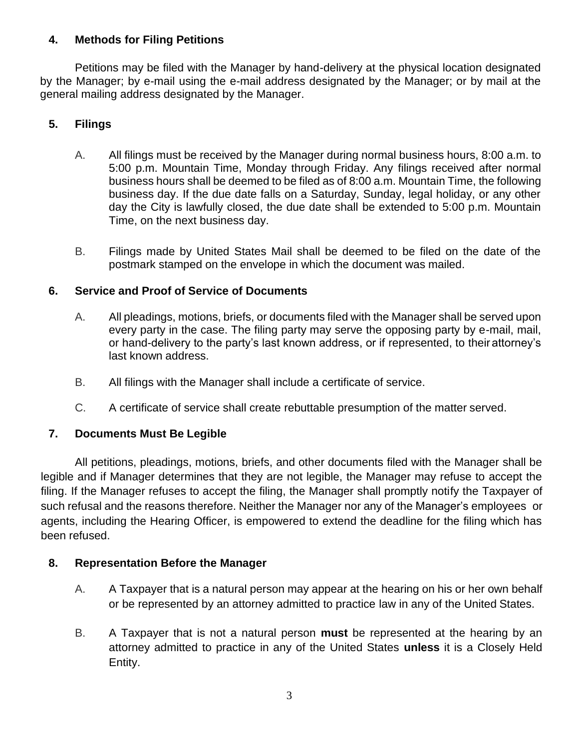# **4. Methods for Filing Petitions**

Petitions may be filed with the Manager by hand-delivery at the physical location designated by the Manager; by e-mail using the e-mail address designated by the Manager; or by mail at the general mailing address designated by the Manager.

# **5. Filings**

- A. All filings must be received by the Manager during normal business hours, 8:00 a.m. to 5:00 p.m. Mountain Time, Monday through Friday. Any filings received after normal business hours shall be deemed to be filed as of 8:00 a.m. Mountain Time, the following business day. If the due date falls on a Saturday, Sunday, legal holiday, or any other day the City is lawfully closed, the due date shall be extended to 5:00 p.m. Mountain Time, on the next business day.
- B. Filings made by United States Mail shall be deemed to be filed on the date of the postmark stamped on the envelope in which the document was mailed.

# **6. Service and Proof of Service of Documents**

- A. All pleadings, motions, briefs, or documents filed with the Manager shall be served upon every party in the case. The filing party may serve the opposing party by e-mail, mail, or hand-delivery to the party's last known address, or if represented, to their attorney's last known address.
- B. All filings with the Manager shall include a certificate of service.
- C. A certificate of service shall create rebuttable presumption of the matter served.

# **7. Documents Must Be Legible**

All petitions, pleadings, motions, briefs, and other documents filed with the Manager shall be legible and if Manager determines that they are not legible, the Manager may refuse to accept the filing. If the Manager refuses to accept the filing, the Manager shall promptly notify the Taxpayer of such refusal and the reasons therefore. Neither the Manager nor any of the Manager's employees or agents, including the Hearing Officer, is empowered to extend the deadline for the filing which has been refused.

#### **8. Representation Before the Manager**

- A. A Taxpayer that is a natural person may appear at the hearing on his or her own behalf or be represented by an attorney admitted to practice law in any of the United States.
- B. A Taxpayer that is not a natural person **must** be represented at the hearing by an attorney admitted to practice in any of the United States **unless** it is a Closely Held Entity.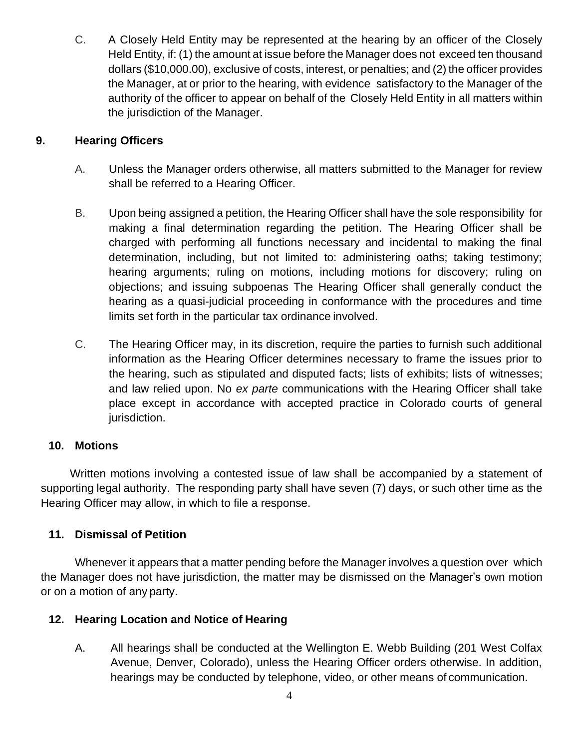C. A Closely Held Entity may be represented at the hearing by an officer of the Closely Held Entity, if: (1) the amount at issue before the Manager does not exceed ten thousand dollars (\$10,000.00), exclusive of costs, interest, or penalties; and (2) the officer provides the Manager, at or prior to the hearing, with evidence satisfactory to the Manager of the authority of the officer to appear on behalf of the Closely Held Entity in all matters within the jurisdiction of the Manager.

# **9. Hearing Officers**

- A. Unless the Manager orders otherwise, all matters submitted to the Manager for review shall be referred to a Hearing Officer.
- B. Upon being assigned a petition, the Hearing Officer shall have the sole responsibility for making a final determination regarding the petition. The Hearing Officer shall be charged with performing all functions necessary and incidental to making the final determination, including, but not limited to: administering oaths; taking testimony; hearing arguments; ruling on motions, including motions for discovery; ruling on objections; and issuing subpoenas The Hearing Officer shall generally conduct the hearing as a quasi-judicial proceeding in conformance with the procedures and time limits set forth in the particular tax ordinance involved.
- C. The Hearing Officer may, in its discretion, require the parties to furnish such additional information as the Hearing Officer determines necessary to frame the issues prior to the hearing, such as stipulated and disputed facts; lists of exhibits; lists of witnesses; and law relied upon. No *ex parte* communications with the Hearing Officer shall take place except in accordance with accepted practice in Colorado courts of general jurisdiction.

# **10. Motions**

Written motions involving a contested issue of law shall be accompanied by a statement of supporting legal authority. The responding party shall have seven (7) days, or such other time as the Hearing Officer may allow, in which to file a response.

# **11. Dismissal of Petition**

Whenever it appears that a matter pending before the Manager involves a question over which the Manager does not have jurisdiction, the matter may be dismissed on the Manager's own motion or on a motion of any party.

# **12. Hearing Location and Notice of Hearing**

A. All hearings shall be conducted at the Wellington E. Webb Building (201 West Colfax Avenue, Denver, Colorado), unless the Hearing Officer orders otherwise. In addition, hearings may be conducted by telephone, video, or other means of communication.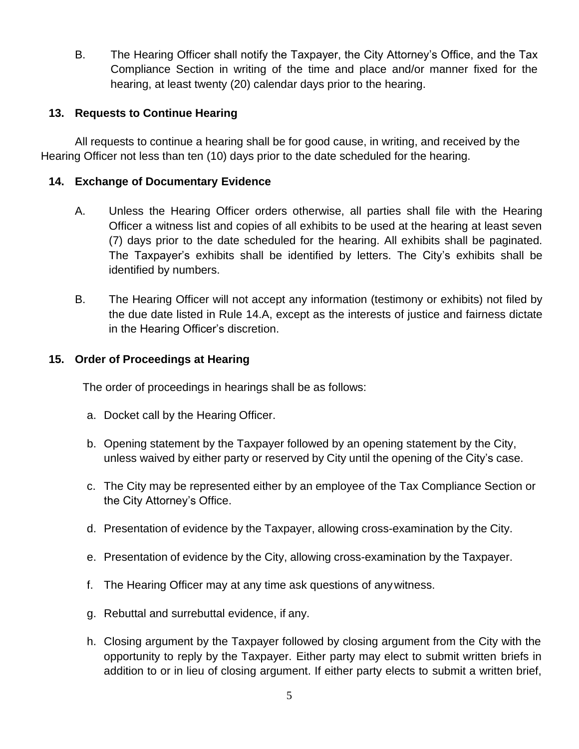B. The Hearing Officer shall notify the Taxpayer, the City Attorney's Office, and the Tax Compliance Section in writing of the time and place and/or manner fixed for the hearing, at least twenty (20) calendar days prior to the hearing.

### **13. Requests to Continue Hearing**

All requests to continue a hearing shall be for good cause, in writing, and received by the Hearing Officer not less than ten (10) days prior to the date scheduled for the hearing.

#### **14. Exchange of Documentary Evidence**

- A. Unless the Hearing Officer orders otherwise, all parties shall file with the Hearing Officer a witness list and copies of all exhibits to be used at the hearing at least seven (7) days prior to the date scheduled for the hearing. All exhibits shall be paginated. The Taxpayer's exhibits shall be identified by letters. The City's exhibits shall be identified by numbers.
- B. The Hearing Officer will not accept any information (testimony or exhibits) not filed by the due date listed in Rule 14.A, except as the interests of justice and fairness dictate in the Hearing Officer's discretion.

#### **15. Order of Proceedings at Hearing**

The order of proceedings in hearings shall be as follows:

- a. Docket call by the Hearing Officer.
- b. Opening statement by the Taxpayer followed by an opening statement by the City, unless waived by either party or reserved by City until the opening of the City's case.
- c. The City may be represented either by an employee of the Tax Compliance Section or the City Attorney's Office.
- d. Presentation of evidence by the Taxpayer, allowing cross-examination by the City.
- e. Presentation of evidence by the City, allowing cross-examination by the Taxpayer.
- f. The Hearing Officer may at any time ask questions of anywitness.
- g. Rebuttal and surrebuttal evidence, if any.
- h. Closing argument by the Taxpayer followed by closing argument from the City with the opportunity to reply by the Taxpayer. Either party may elect to submit written briefs in addition to or in lieu of closing argument. If either party elects to submit a written brief,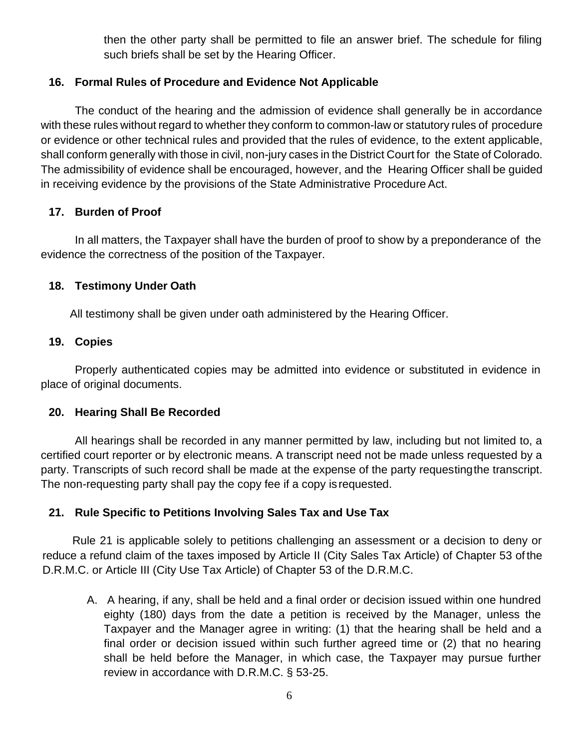then the other party shall be permitted to file an answer brief. The schedule for filing such briefs shall be set by the Hearing Officer.

# **16. Formal Rules of Procedure and Evidence Not Applicable**

The conduct of the hearing and the admission of evidence shall generally be in accordance with these rules without regard to whether they conform to common-law or statutory rules of procedure or evidence or other technical rules and provided that the rules of evidence, to the extent applicable, shall conform generally with those in civil, non-jury cases in the District Court for the State of Colorado. The admissibility of evidence shall be encouraged, however, and the Hearing Officer shall be guided in receiving evidence by the provisions of the State Administrative Procedure Act.

# **17. Burden of Proof**

In all matters, the Taxpayer shall have the burden of proof to show by a preponderance of the evidence the correctness of the position of the Taxpayer.

# **18. Testimony Under Oath**

All testimony shall be given under oath administered by the Hearing Officer.

# **19. Copies**

Properly authenticated copies may be admitted into evidence or substituted in evidence in place of original documents.

# **20. Hearing Shall Be Recorded**

All hearings shall be recorded in any manner permitted by law, including but not limited to, a certified court reporter or by electronic means. A transcript need not be made unless requested by a party. Transcripts of such record shall be made at the expense of the party requestingthe transcript. The non-requesting party shall pay the copy fee if a copy is requested.

# **21. Rule Specific to Petitions Involving Sales Tax and Use Tax**

Rule 21 is applicable solely to petitions challenging an assessment or a decision to deny or reduce a refund claim of the taxes imposed by Article II (City Sales Tax Article) of Chapter 53 of the D.R.M.C. or Article III (City Use Tax Article) of Chapter 53 of the D.R.M.C.

A. A hearing, if any, shall be held and a final order or decision issued within one hundred eighty (180) days from the date a petition is received by the Manager, unless the Taxpayer and the Manager agree in writing: (1) that the hearing shall be held and a final order or decision issued within such further agreed time or (2) that no hearing shall be held before the Manager, in which case, the Taxpayer may pursue further review in accordance with D.R.M.C. § 53-25.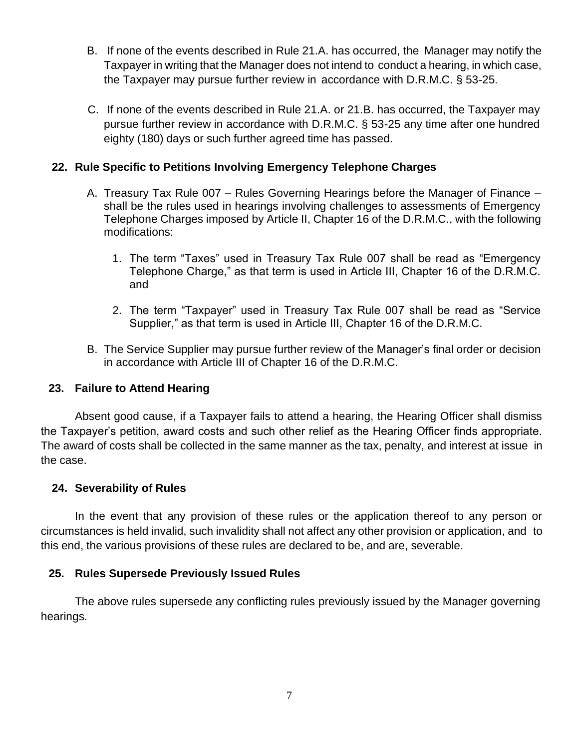- B. If none of the events described in Rule 21.A. has occurred, the Manager may notify the Taxpayer in writing that the Manager does not intend to conduct a hearing, in which case, the Taxpayer may pursue further review in accordance with D.R.M.C. § 53-25.
- C. If none of the events described in Rule 21.A. or 21.B. has occurred, the Taxpayer may pursue further review in accordance with D.R.M.C. § 53-25 any time after one hundred eighty (180) days or such further agreed time has passed.

### **22. Rule Specific to Petitions Involving Emergency Telephone Charges**

- A. Treasury Tax Rule 007 Rules Governing Hearings before the Manager of Finance shall be the rules used in hearings involving challenges to assessments of Emergency Telephone Charges imposed by Article II, Chapter 16 of the D.R.M.C., with the following modifications:
	- 1. The term "Taxes" used in Treasury Tax Rule 007 shall be read as "Emergency Telephone Charge," as that term is used in Article III, Chapter 16 of the D.R.M.C. and
	- 2. The term "Taxpayer" used in Treasury Tax Rule 007 shall be read as "Service Supplier," as that term is used in Article III, Chapter 16 of the D.R.M.C.
- B. The Service Supplier may pursue further review of the Manager's final order or decision in accordance with Article III of Chapter 16 of the D.R.M.C.

#### **23. Failure to Attend Hearing**

Absent good cause, if a Taxpayer fails to attend a hearing, the Hearing Officer shall dismiss the Taxpayer's petition, award costs and such other relief as the Hearing Officer finds appropriate. The award of costs shall be collected in the same manner as the tax, penalty, and interest at issue in the case.

#### **24. Severability of Rules**

In the event that any provision of these rules or the application thereof to any person or circumstances is held invalid, such invalidity shall not affect any other provision or application, and to this end, the various provisions of these rules are declared to be, and are, severable.

#### **25. Rules Supersede Previously Issued Rules**

The above rules supersede any conflicting rules previously issued by the Manager governing hearings.